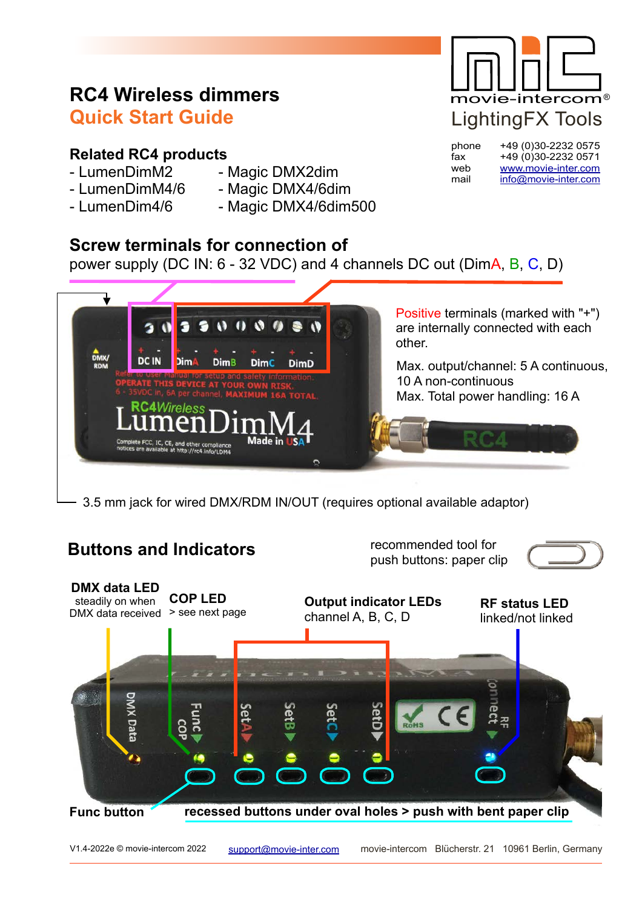# **RC4 Wireless dimmers Quick Start Guide**

### **Related RC4 products**

- 
- LumenDimM2 Magic DMX2dim
- 
- LumenDimM4/6 Magic DMX4/6dim
- LumenDim4/6 Magic DMX4/6dim500
- -

## **Screw terminals for connection of**

power supply (DC IN: 6 - 32 VDC) and 4 channels DC out (DimA, B, C, D)



3.5 mm jack for wired DMX/RDM IN/OUT (requires optional available adaptor)

# **Buttons and Indicators**

recommended tool for push buttons: paper clip





LightingFX Tools movie-intercom®

phone +49 (0)30-2232 0575 fax +49 (0)30-2232 0571 web www.movie-inter.com mail info@movie-inter.com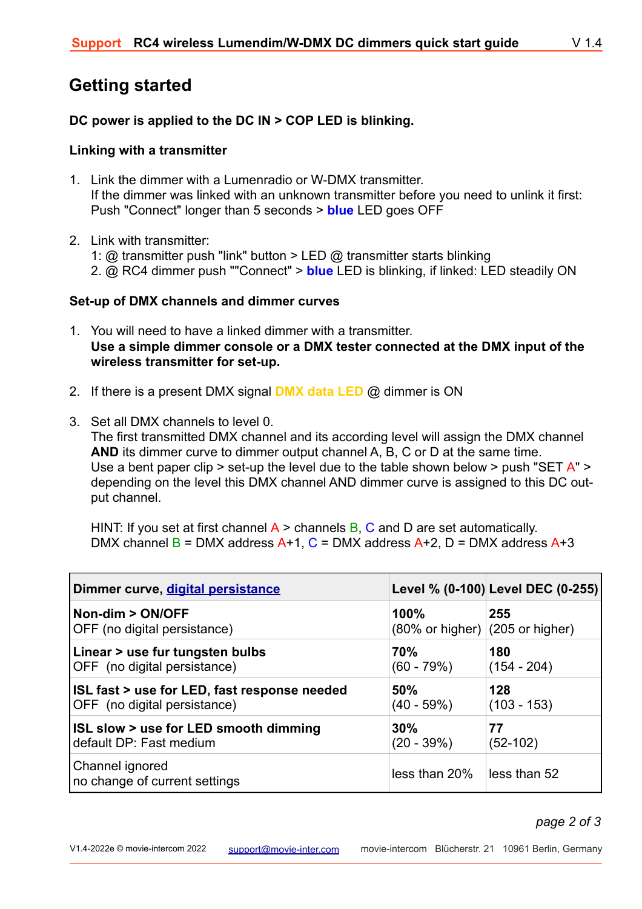## **Getting started**

#### **DC power is applied to the DC IN > COP LED is blinking.**

#### **Linking with a transmitter**

- 1. Link the dimmer with a Lumenradio or W-DMX transmitter. If the dimmer was linked with an unknown transmitter before you need to unlink it first: Push "Connect" longer than 5 seconds > **blue** LED goes OFF
- 2. Link with transmitter:
	- 1:  $\omega$  transmitter push "link" button > LED  $\omega$  transmitter starts blinking
	- 2. @ RC4 dimmer push ""Connect" > **blue** LED is blinking, if linked: LED steadily ON

#### **Set-up of DMX channels and dimmer curves**

- 1. You will need to have a linked dimmer with a transmitter. **Use a simple dimmer console or a DMX tester connected at the DMX input of the wireless transmitter for set-up.**
- 2. If there is a present DMX signal **DMX data LED** @ dimmer is ON
- 3. Set all DMX channels to level 0.

The first transmitted DMX channel and its according level will assign the DMX channel **AND** its dimmer curve to dimmer output channel A, B, C or D at the same time. Use a bent paper clip  $>$  set-up the level due to the table shown below  $>$  push "SET  $A$ "  $>$ depending on the level this DMX channel AND dimmer curve is assigned to this DC output channel.

HINT: If you set at first channel  $A >$  channels B, C and D are set automatically. DMX channel  $B = DMX$  address  $A+1$ ,  $C = DMX$  address  $A+2$ ,  $D = DMX$  address  $A+3$ 

| Dimmer curve, digital persistance                |                                                    | Level % (0-100) Level DEC (0-255) |
|--------------------------------------------------|----------------------------------------------------|-----------------------------------|
| Non-dim > ON/OFF<br>OFF (no digital persistance) | 100%<br>$(80\% \text{ or higher})$ (205 or higher) | 255                               |
| Linear > use fur tungsten bulbs                  | <b>70%</b>                                         | 180                               |
| OFF (no digital persistance)                     | $(60 - 79%)$                                       | $(154 - 204)$                     |
| ISL fast > use for LED, fast response needed     | 50%                                                | 128                               |
| OFF (no digital persistance)                     | $(40 - 59\%)$                                      | $(103 - 153)$                     |
| ISL slow > use for LED smooth dimming            | 30%                                                | 77                                |
| default DP: Fast medium                          | $(20 - 39%)$                                       | $(52-102)$                        |
| Channel ignored<br>no change of current settings | less than 20%                                      | less than 52                      |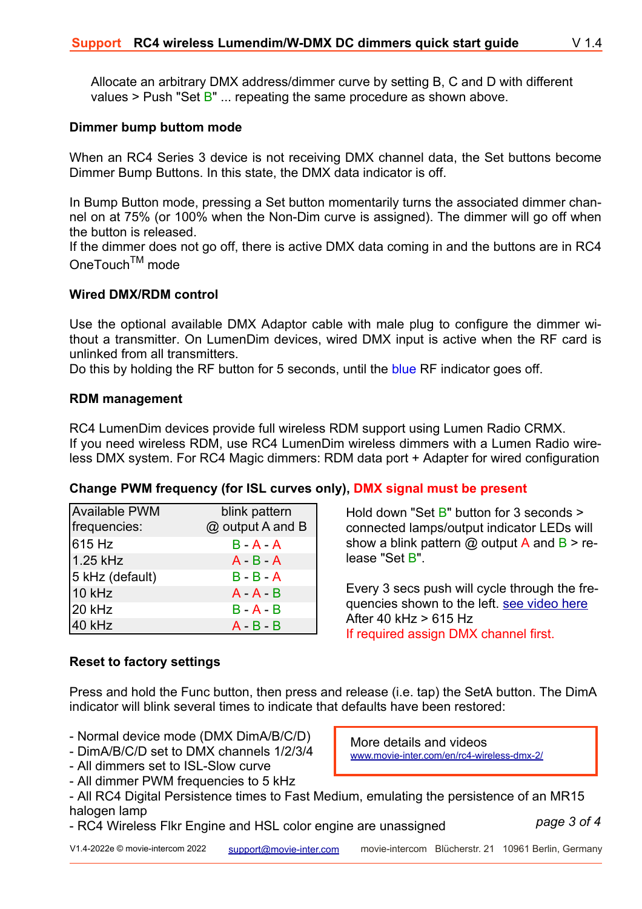Allocate an arbitrary DMX address/dimmer curve by setting B, C and D with different values > Push "Set  $B$ " ... repeating the same procedure as shown above.

#### **Dimmer bump buttom mode**

When an RC4 Series 3 device is not receiving DMX channel data, the Set buttons become Dimmer Bump Buttons. In this state, the DMX data indicator is off.

In Bump Button mode, pressing a Set button momentarily turns the associated dimmer channel on at 75% (or 100% when the Non-Dim curve is assigned). The dimmer will go off when the button is released.

If the dimmer does not go off, there is active DMX data coming in and the buttons are in RC4 OneTouchTM mode

#### **Wired DMX/RDM control**

Use the optional available DMX Adaptor cable with male plug to configure the dimmer without a transmitter. On LumenDim devices, wired DMX input is active when the RF card is unlinked from all transmitters.

Do this by holding the RF button for 5 seconds, until the blue RF indicator goes off.

#### **RDM management**

RC4 LumenDim devices provide full wireless RDM support using Lumen Radio CRMX. If you need wireless RDM, use RC4 LumenDim wireless dimmers with a Lumen Radio wireless DMX system. For RC4 Magic dimmers: RDM data port + Adapter for wired configuration

#### **Change PWM frequency (for ISL curves only), DMX signal must be present**

| <b>Available PWM</b> | blink pattern    |
|----------------------|------------------|
| frequencies:         | @ output A and B |
| 615 Hz               | $B - A - A$      |
| 1.25 kHz             | $A - B - A$      |
| 5 kHz (default)      | $B - B - A$      |
| 10 kHz               | $A - A - B$      |
| 20 kHz               | $B - A - B$      |
| 40 kHz               | $A - B - B$      |

Hold down "Set B" button for 3 seconds > connected lamps/output indicator LEDs will show a blink pattern  $\omega$  output A and B > release "Set B".

Every 3 secs push will cycle through the frequencies shown to the left. see video here After 40 kHz > 615 Hz If required assign DMX channel first.

#### **Reset to factory settings**

Press and hold the Func button, then press and release (i.e. tap) the SetA button. The DimA indicator will blink several times to indicate that defaults have been restored:

- Normal device mode (DMX DimA/B/C/D)
- DimA/B/C/D set to DMX channels 1/2/3/4
- All dimmers set to ISL-Slow curve
- All dimmer PWM frequencies to 5 kHz

More details and videos www.movie-inter.com/en/rc4-wireless-dmx-2/

- All RC4 Digital Persistence times to Fast Medium, emulating the persistence of an MR15 halogen lamp
- RC4 Wireless Flkr Engine and HSL color engine are unassigned

*page 3 of 4*